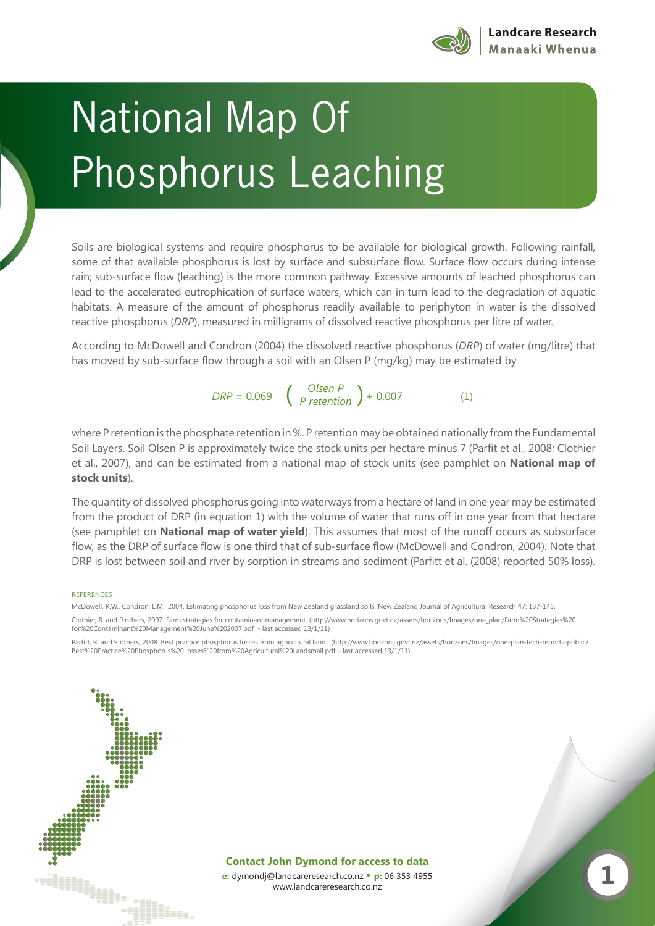

## Dhocphorus Load Phosphorus Leaching

Soils are biological systems and require phosphorus to be available for biological growth. Following rainfall, some of that available phosphorus is lost by surface and subsurface flow. Surface flow occurs during intense rain; sub-surface flow (leaching) is the more common pathway. Excessive amounts of leached phosphorus can lead to the accelerated eutrophication of surface waters, which can in turn lead to the degradation of aquatic habitats. A measure of the amount of phosphorus readily available to periphyton in water is the dissolved reactive phosphorus (*DRP*), measured in milligrams of dissolved reactive phosphorus per litre of water.

According to McDowell and Condron (2004) the dissolved reactive phosphorus (*DRP*) of water (mg/litre) that has moved by sub-surface flow through a soil with an Olsen P (mg/kg) may be estimated by

 $DRP = 0.069$   $\left(\frac{Olsen P}{P retention}\right) + 0.007$  (1)

where P retention is the phosphate retention in %. P retention may be obtained nationally from the Fundamental Soil Layers. Soil Olsen P is approximately twice the stock units per hectare minus 7 (Parfit et al., 2008; Clothier et al., 2007), and can be estimated from a national map of stock units (see pamphlet on **National map of stock units**).

The quantity of dissolved phosphorus going into waterways from a hectare of land in one year may be estimated from the product of DRP (in equation 1) with the volume of water that runs off in one year from that hectare (see pamphlet on **National map of water yield**). This assumes that most of the runoff occurs as subsurface flow, as the DRP of surface flow is one third that of sub-surface flow (McDowell and Condron, 2004). Note that DRP is lost between soil and river by sorption in streams and sediment (Parfitt et al. (2008) reported 50% loss).

## REFERENCES

McDowell, R.W., Condron, L.M., 2004. Estimating phosphorus loss from New Zealand grassland soils. New Zealand Journal of Agricultural Research 47: 137-145. Clothier, B. and 9 others, 2007. Farm strategies for contaminant management. (http://www.horizons.govt.nz/assets/horizons/Images/one\_plan/Farm%20Strategies%20 for%20Contaminant%20Management%20June%202007.pdf - last accessed 13/1/11)

Parfitt, R. and 9 others, 2008. Best practice phosphorus losses from agricultural land. (http://www.horizons.govt.nz/assets/horizons/Images/one-plan-tech-reports-public/ Best%20Practice%20Phosphorus%20Losses%20from%20Agricultural%20Landsmall.pdf – last accessed 13/1/11)

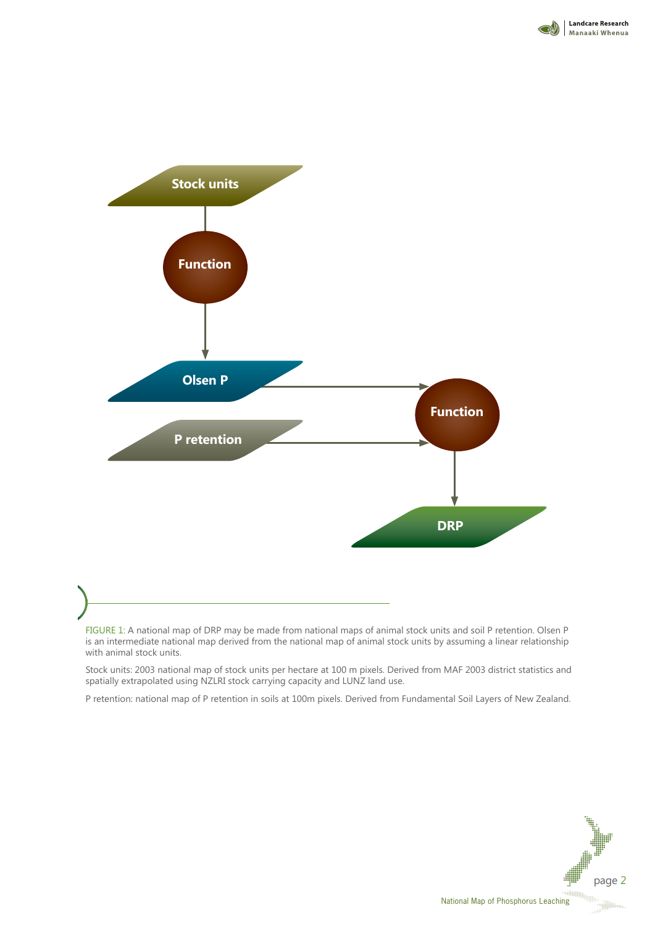



FIGURE 1: A national map of DRP may be made from national maps of animal stock units and soil P retention. Olsen P is an intermediate national map derived from the national map of animal stock units by assuming a linear relationship with animal stock units.

Stock units: 2003 national map of stock units per hectare at 100 m pixels. Derived from MAF 2003 district statistics and spatially extrapolated using NZLRI stock carrying capacity and LUNZ land use.

P retention: national map of P retention in soils at 100m pixels. Derived from Fundamental Soil Layers of New Zealand.



National Map of Phosphorus Leaching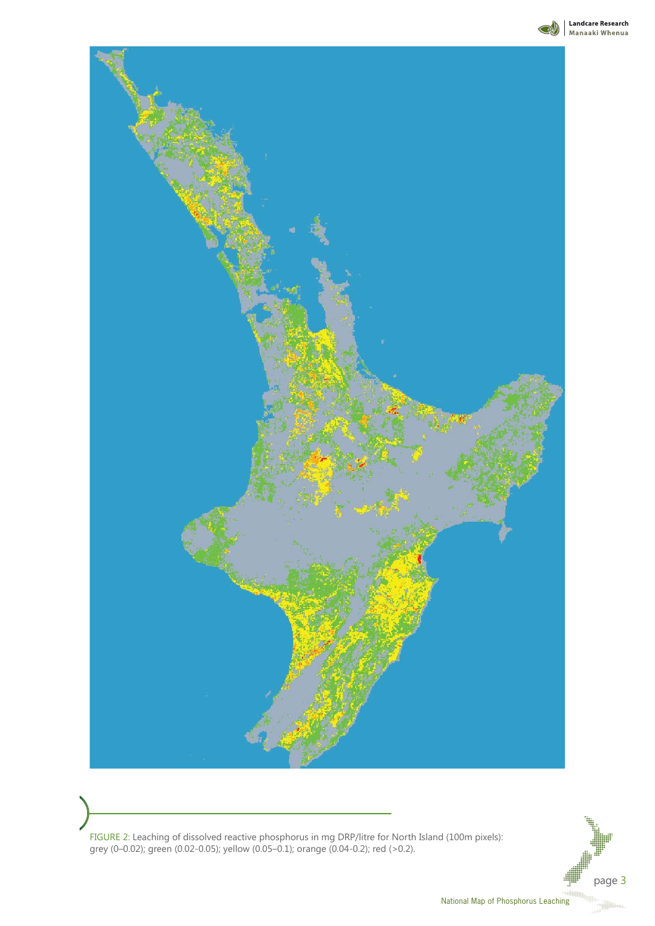

**Mandcare Research** 



FIGURE 2: Leaching of dissolved reactive phosphorus in mg DRP/litre for North Island (100m pixels): grey (0–0.02); green (0.02-0.05); yellow (0.05–0.1); orange (0.04-0.2); red (>0.2).

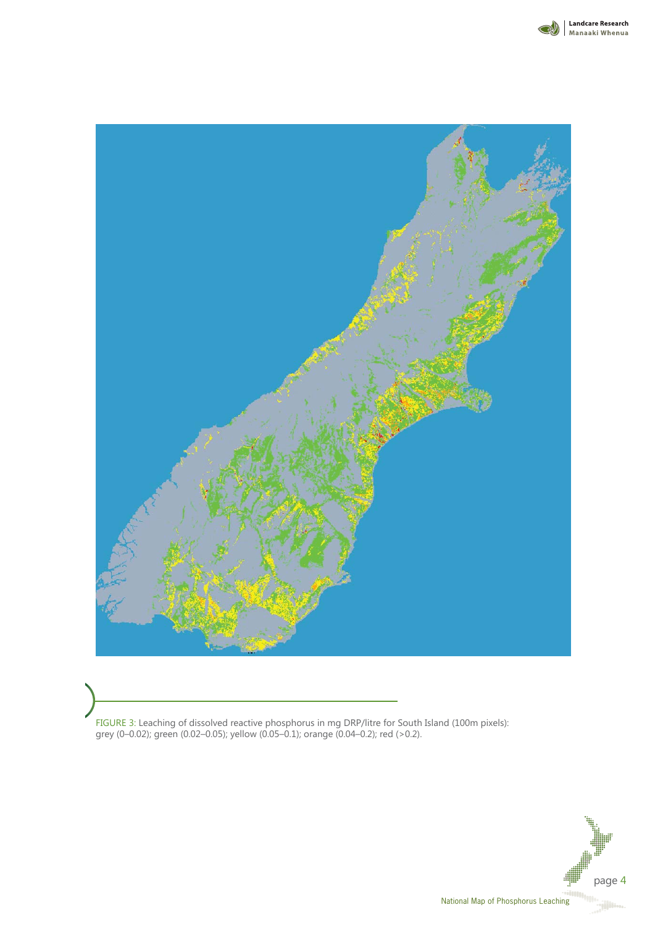



FIGURE 3: Leaching of dissolved reactive phosphorus in mg DRP/litre for South Island (100m pixels): grey (0–0.02); green (0.02–0.05); yellow (0.05–0.1); orange (0.04–0.2); red (>0.2).